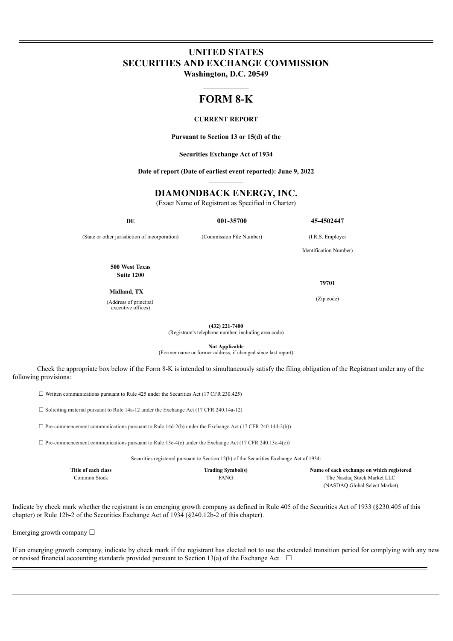# **UNITED STATES SECURITIES AND EXCHANGE COMMISSION**

**Washington, D.C. 20549**  $\mathcal{L}_\text{max}$ 

## **FORM 8-K**

#### **CURRENT REPORT**

**Pursuant to Section 13 or 15(d) of the**

**Securities Exchange Act of 1934**

**Date of report (Date of earliest event reported): June 9, 2022**

## **DIAMONDBACK ENERGY, INC.**

(Exact Name of Registrant as Specified in Charter)

**DE 001-35700 45-4502447**

(State or other jurisdiction of incorporation) (Commission File Number) (I.R.S. Employer

Identification Number)

**500 West Texas Suite 1200**

**Midland, TX**

(Address of principal executive offices)

**79701**

(Zip code)

**(432) 221-7400**

(Registrant's telephone number, including area code)

**Not Applicable** (Former name or former address, if changed since last report)

Check the appropriate box below if the Form 8-K is intended to simultaneously satisfy the filing obligation of the Registrant under any of the following provisions:

☐ Written communications pursuant to Rule 425 under the Securities Act (17 CFR 230.425)

☐ Soliciting material pursuant to Rule 14a-12 under the Exchange Act (17 CFR 240.14a-12)

 $\square$  Pre-commencement communications pursuant to Rule 14d-2(b) under the Exchange Act (17 CFR 240.14d-2(b))

 $\Box$  Pre-commencement communications pursuant to Rule 13e-4(c) under the Exchange Act (17 CFR 240.13e-4(c))

Securities registered pursuant to Section 12(b) of the Securities Exchange Act of 1934:

| Title of each class | <b>Trading Symbol(s)</b> | Name of each exchange on which registered |
|---------------------|--------------------------|-------------------------------------------|
| Common Stock-       | <b>FANG</b>              | The Nasdag Stock Market LLC               |
|                     |                          | (NASDAO Global Select Market)             |

Indicate by check mark whether the registrant is an emerging growth company as defined in Rule 405 of the Securities Act of 1933 (§230.405 of this chapter) or Rule 12b-2 of the Securities Exchange Act of 1934 (§240.12b-2 of this chapter).

Emerging growth company  $\Box$ 

If an emerging growth company, indicate by check mark if the registrant has elected not to use the extended transition period for complying with any new or revised financial accounting standards provided pursuant to Section 13(a) of the Exchange Act.  $\Box$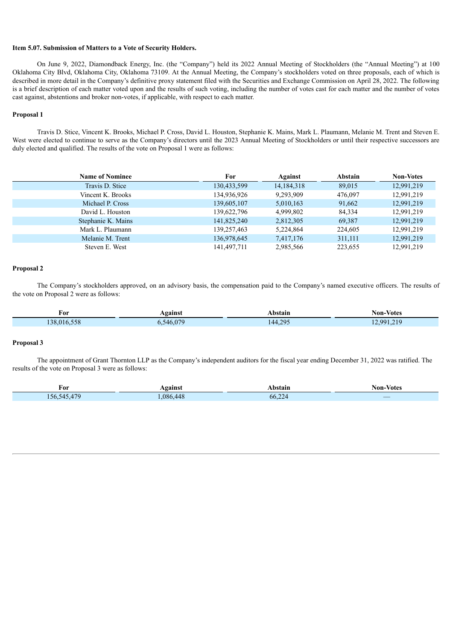#### **Item 5.07. Submission of Matters to a Vote of Security Holders.**

On June 9, 2022, Diamondback Energy, Inc. (the "Company") held its 2022 Annual Meeting of Stockholders (the "Annual Meeting") at 100 Oklahoma City Blvd, Oklahoma City, Oklahoma 73109. At the Annual Meeting, the Company's stockholders voted on three proposals, each of which is described in more detail in the Company's definitive proxy statement filed with the Securities and Exchange Commission on April 28, 2022. The following is a brief description of each matter voted upon and the results of such voting, including the number of votes cast for each matter and the number of votes cast against, abstentions and broker non-votes, if applicable, with respect to each matter.

#### **Proposal 1**

Travis D. Stice, Vincent K. Brooks, Michael P. Cross, David L. Houston, Stephanie K. Mains, Mark L. Plaumann, Melanie M. Trent and Steven E. West were elected to continue to serve as the Company's directors until the 2023 Annual Meeting of Stockholders or until their respective successors are duly elected and qualified. The results of the vote on Proposal 1 were as follows:

| <b>Name of Nominee</b> | For         | Against      | Abstain | <b>Non-Votes</b> |
|------------------------|-------------|--------------|---------|------------------|
| Travis D. Stice        | 130,433,599 | 14, 184, 318 | 89,015  | 12,991,219       |
| Vincent K. Brooks      | 134,936,926 | 9,293,909    | 476,097 | 12,991,219       |
| Michael P. Cross       | 139,605,107 | 5,010,163    | 91,662  | 12,991,219       |
| David L. Houston       | 139,622,796 | 4,999,802    | 84.334  | 12,991,219       |
| Stephanie K. Mains     | 141,825,240 | 2,812,305    | 69,387  | 12,991,219       |
| Mark L. Plaumann       | 139,257,463 | 5,224,864    | 224,605 | 12,991,219       |
| Melanie M. Trent       | 136,978,645 | 7,417,176    | 311,111 | 12,991,219       |
| Steven E. West         | 141,497,711 | 2,985,566    | 223,655 | 12,991,219       |

#### **Proposal 2**

The Company's stockholders approved, on an advisory basis, the compensation paid to the Company's named executive officers. The results of the vote on Proposal 2 were as follows:

| For                                        | ⊾gainst          | <b>\bstain</b> | Non-Votes |
|--------------------------------------------|------------------|----------------|-----------|
| $\sim$ = = $\sim$<br>$138.016 \cdot$<br>കര | 070<br>ኣ4ሉ<br>ັ້ | 44.295<br>т.∠  | 2991219   |

#### **Proposal 3**

The appointment of Grant Thornton LLP as the Company's independent auditors for the fiscal year ending December 31, 2022 was ratified. The results of the vote on Proposal 3 were as follows:

| For                                | <b>gainst</b>         | bstain                                                                                                                            | - Votes<br>Non-        |
|------------------------------------|-----------------------|-----------------------------------------------------------------------------------------------------------------------------------|------------------------|
| $4 - C$<br>$56-$<br>$\Delta$<br>-- | $\overline{A}$<br>086 | $\sim$<br>66.22<br>and the state of the state of the state of the state of the state of the state of the state of the state of th | _<br><b>CONTRACTOR</b> |